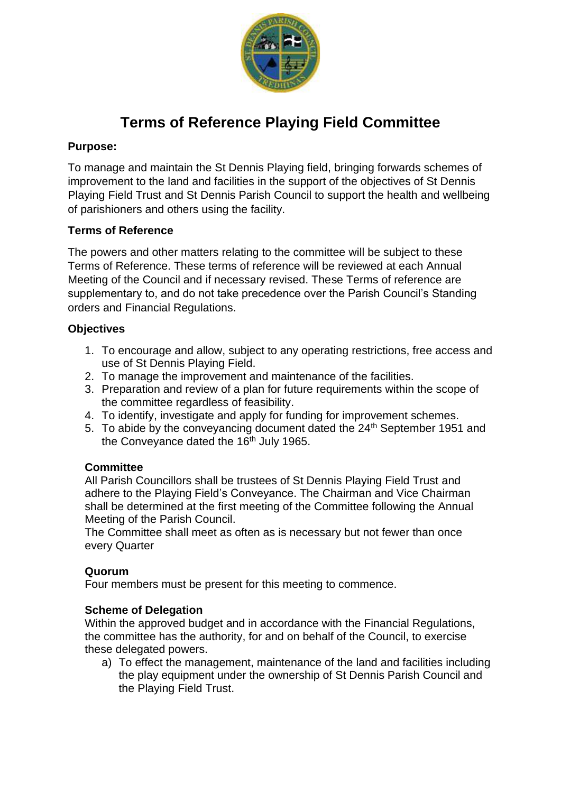

# **Terms of Reference Playing Field Committee**

# **Purpose:**

To manage and maintain the St Dennis Playing field, bringing forwards schemes of improvement to the land and facilities in the support of the objectives of St Dennis Playing Field Trust and St Dennis Parish Council to support the health and wellbeing of parishioners and others using the facility.

# **Terms of Reference**

The powers and other matters relating to the committee will be subject to these Terms of Reference. These terms of reference will be reviewed at each Annual Meeting of the Council and if necessary revised. These Terms of reference are supplementary to, and do not take precedence over the Parish Council's Standing orders and Financial Regulations.

# **Objectives**

- 1. To encourage and allow, subject to any operating restrictions, free access and use of St Dennis Playing Field.
- 2. To manage the improvement and maintenance of the facilities.
- 3. Preparation and review of a plan for future requirements within the scope of the committee regardless of feasibility.
- 4. To identify, investigate and apply for funding for improvement schemes.
- 5. To abide by the conveyancing document dated the 24<sup>th</sup> September 1951 and the Conveyance dated the 16<sup>th</sup> July 1965.

### **Committee**

All Parish Councillors shall be trustees of St Dennis Playing Field Trust and adhere to the Playing Field's Conveyance. The Chairman and Vice Chairman shall be determined at the first meeting of the Committee following the Annual Meeting of the Parish Council.

The Committee shall meet as often as is necessary but not fewer than once every Quarter

### **Quorum**

Four members must be present for this meeting to commence.

### **Scheme of Delegation**

Within the approved budget and in accordance with the Financial Regulations, the committee has the authority, for and on behalf of the Council, to exercise these delegated powers.

a) To effect the management, maintenance of the land and facilities including the play equipment under the ownership of St Dennis Parish Council and the Playing Field Trust.